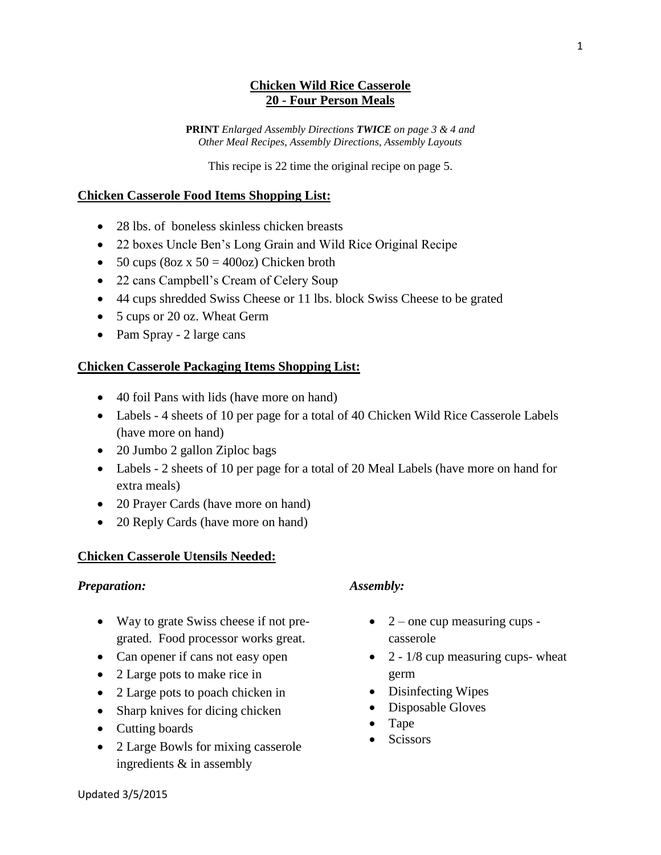# **Chicken Wild Rice Casserole 20 - Four Person Meals**

**PRINT** *Enlarged Assembly Directions TWICE on page 3 & 4 and Other Meal Recipes, Assembly Directions, Assembly Layouts*

This recipe is 22 time the original recipe on page 5.

### **Chicken Casserole Food Items Shopping List:**

- 28 lbs. of boneless skinless chicken breasts
- 22 boxes Uncle Ben's Long Grain and Wild Rice Original Recipe
- $\bullet$  50 cups (8oz x 50 = 400oz) Chicken broth
- 22 cans Campbell's Cream of Celery Soup
- 44 cups shredded Swiss Cheese or 11 lbs. block Swiss Cheese to be grated
- 5 cups or 20 oz. Wheat Germ
- Pam Spray 2 large cans

# **Chicken Casserole Packaging Items Shopping List:**

- 40 foil Pans with lids (have more on hand)
- Labels 4 sheets of 10 per page for a total of 40 Chicken Wild Rice Casserole Labels (have more on hand)
- 20 Jumbo 2 gallon Ziploc bags
- Labels 2 sheets of 10 per page for a total of 20 Meal Labels (have more on hand for extra meals)
- 20 Prayer Cards (have more on hand)
- 20 Reply Cards (have more on hand)

# **Chicken Casserole Utensils Needed:**

#### *Preparation:*

- Way to grate Swiss cheese if not pregrated. Food processor works great.
- Can opener if cans not easy open
- 2 Large pots to make rice in
- 2 Large pots to poach chicken in
- Sharp knives for dicing chicken
- Cutting boards
- 2 Large Bowls for mixing casserole ingredients & in assembly

# *Assembly:*

- $\bullet$  2 one cup measuring cups casserole
- $\bullet$  2 1/8 cup measuring cups- wheat germ
- Disinfecting Wipes
- Disposable Gloves
- Tape
- Scissors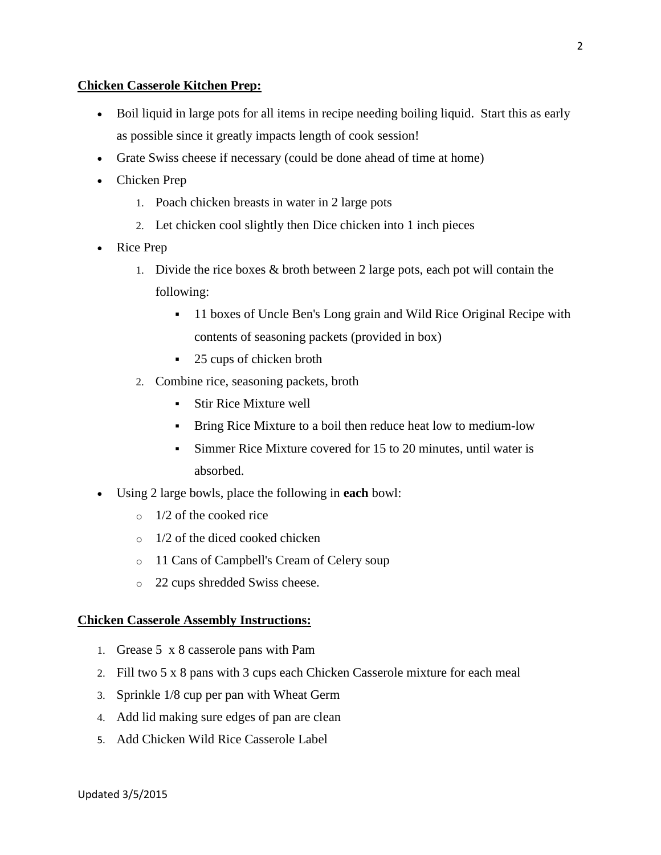### **Chicken Casserole Kitchen Prep:**

- Boil liquid in large pots for all items in recipe needing boiling liquid. Start this as early as possible since it greatly impacts length of cook session!
- Grate Swiss cheese if necessary (could be done ahead of time at home)
- Chicken Prep
	- 1. Poach chicken breasts in water in 2 large pots
	- 2. Let chicken cool slightly then Dice chicken into 1 inch pieces
- Rice Prep
	- 1. Divide the rice boxes & broth between 2 large pots, each pot will contain the following:
		- <sup>•</sup> 11 boxes of Uncle Ben's Long grain and Wild Rice Original Recipe with contents of seasoning packets (provided in box)
		- 25 cups of chicken broth
	- 2. Combine rice, seasoning packets, broth
		- Stir Rice Mixture well
		- Bring Rice Mixture to a boil then reduce heat low to medium-low
		- Simmer Rice Mixture covered for 15 to 20 minutes, until water is absorbed.
- Using 2 large bowls, place the following in **each** bowl:
	- $\circ$  1/2 of the cooked rice
	- o 1/2 of the diced cooked chicken
	- o 11 Cans of Campbell's Cream of Celery soup
	- o 22 cups shredded Swiss cheese.

# **Chicken Casserole Assembly Instructions:**

- 1. Grease 5 x 8 casserole pans with Pam
- 2. Fill two 5 x 8 pans with 3 cups each Chicken Casserole mixture for each meal
- 3. Sprinkle 1/8 cup per pan with Wheat Germ
- 4. Add lid making sure edges of pan are clean
- 5. Add Chicken Wild Rice Casserole Label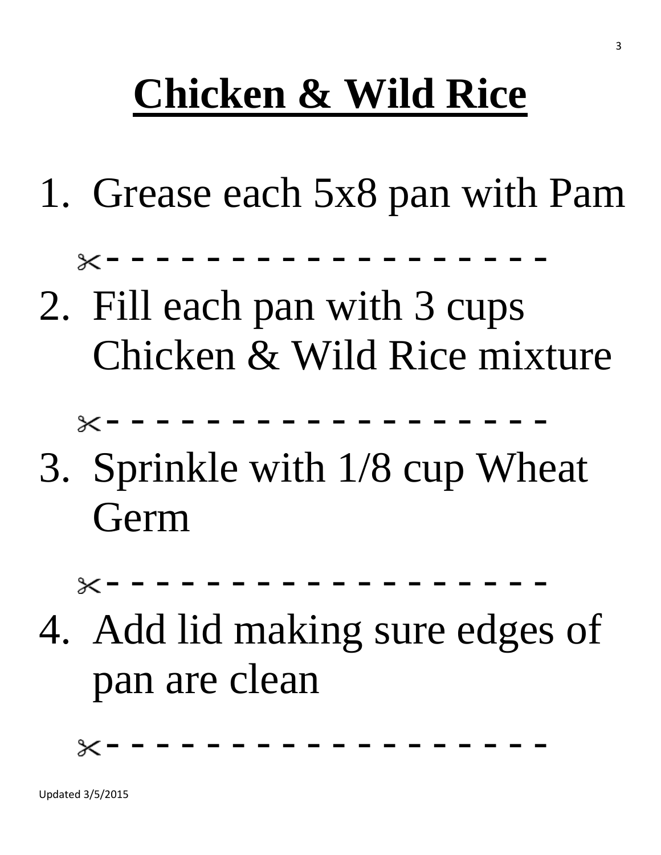# **Chicken & Wild Rice**

1. Grease each 5x8 pan with Pam

- - - - - - - - - - - - - - - - - -

2. Fill each pan with 3 cups Chicken & Wild Rice mixture

- - - - - - - - - - - - - - - - - -

3. Sprinkle with 1/8 cup Wheat Germ

- - - - - - - - - - - - - - - - - -

4. Add lid making sure edges of pan are clean

- - - - - - - - - - - - - - - - - -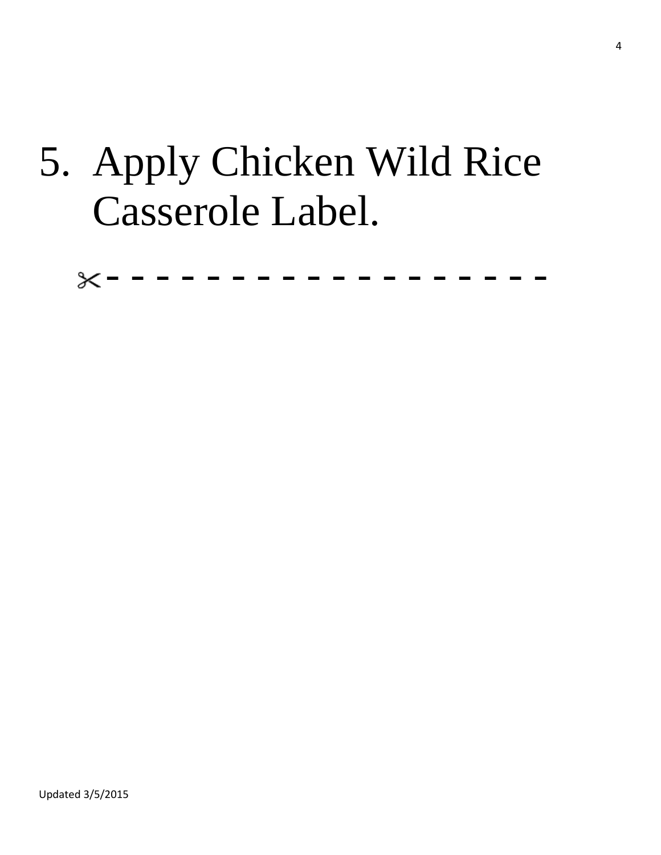# 5. Apply Chicken Wild Rice Casserole Label.

- - - - - - - - - - - - - - - - - -